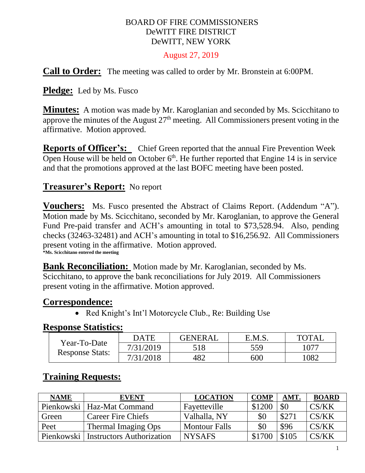#### BOARD OF FIRE COMMISSIONERS DeWITT FIRE DISTRICT DeWITT, NEW YORK

#### August 27, 2019

**Call to Order:** The meeting was called to order by Mr. Bronstein at 6:00PM.

**Pledge:** Led by Ms. Fusco

**Minutes:** A motion was made by Mr. Karoglanian and seconded by Ms. Scicchitano to approve the minutes of the August  $27<sup>th</sup>$  meeting. All Commissioners present voting in the affirmative. Motion approved.

**Reports of Officer's:** Chief Green reported that the annual Fire Prevention Week Open House will be held on October  $6<sup>th</sup>$ . He further reported that Engine 14 is in service and that the promotions approved at the last BOFC meeting have been posted.

### **Treasurer's Report:** No report

**Vouchers:** Ms. Fusco presented the Abstract of Claims Report. (Addendum "A"). Motion made by Ms. Scicchitano, seconded by Mr. Karoglanian, to approve the General Fund Pre-paid transfer and ACH's amounting in total to \$73,528.94. Also, pending checks (32463-32481) and ACH's amounting in total to \$16,256.92. All Commissioners present voting in the affirmative. Motion approved. **\*Ms. Scicchitano entered the meeting**

**Bank Reconciliation:** Motion made by Mr. Karoglanian, seconded by Ms. Scicchitano, to approve the bank reconciliations for July 2019. All Commissioners present voting in the affirmative. Motion approved.

### **Correspondence:**

• Red Knight's Int'l Motorcycle Club., Re: Building Use

#### **Response Statistics:**

|                        | <b>DATE</b> | <b>GENERAL</b> | E.M.S. | <b>TOTAL</b> |
|------------------------|-------------|----------------|--------|--------------|
| Year-To-Date           | 7/31/2019   | 518            | 559    | 077ء         |
| <b>Response Stats:</b> | 7/31/2018   | 482            | 600    | 082          |

## **Training Requests:**

| <b>NAME</b> | <b>EVENT</b>                     | <b>LOCATION</b>      | <b>COMP</b> | <b>AMT</b> | <b>BOARD</b> |
|-------------|----------------------------------|----------------------|-------------|------------|--------------|
|             | Pienkowski   Haz-Mat Command     | Fayetteville         | \$1200      | \$0        | CS/KK        |
| Green       | <b>Career Fire Chiefs</b>        | Valhalla, NY         | \$0         | \$27       | CS/KK        |
| Peet        | Thermal Imaging Ops              | <b>Montour Falls</b> | \$0         | \$96       | CS/KK        |
| Pienkowski  | <b>Instructors Authorization</b> | <b>NYSAFS</b>        |             | \$105      | CS/KK        |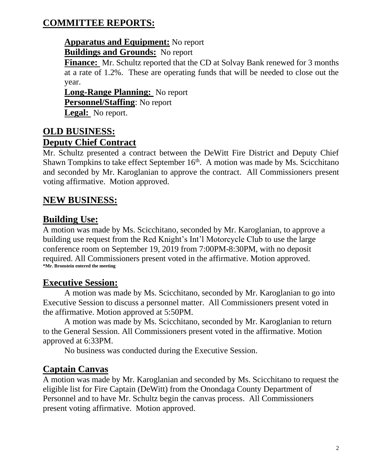## **COMMITTEE REPORTS:**

### **Apparatus and Equipment:** No report **Buildings and Grounds:** No report

**Finance:** Mr. Schultz reported that the CD at Solvay Bank renewed for 3 months at a rate of 1.2%. These are operating funds that will be needed to close out the year.

**Long-Range Planning:** No report **Personnel/Staffing**: No report **Legal:** No report.

### **OLD BUSINESS: Deputy Chief Contract**

Mr. Schultz presented a contract between the DeWitt Fire District and Deputy Chief Shawn Tompkins to take effect September  $16<sup>th</sup>$ . A motion was made by Ms. Scicchitano and seconded by Mr. Karoglanian to approve the contract. All Commissioners present voting affirmative. Motion approved.

# **NEW BUSINESS:**

## **Building Use:**

A motion was made by Ms. Scicchitano, seconded by Mr. Karoglanian, to approve a building use request from the Red Knight's Int'l Motorcycle Club to use the large conference room on September 19, 2019 from 7:00PM-8:30PM, with no deposit required. All Commissioners present voted in the affirmative. Motion approved. **\*Mr. Bronstein entered the meeting**

## **Executive Session:**

A motion was made by Ms. Scicchitano, seconded by Mr. Karoglanian to go into Executive Session to discuss a personnel matter. All Commissioners present voted in the affirmative. Motion approved at 5:50PM.

A motion was made by Ms. Scicchitano, seconded by Mr. Karoglanian to return to the General Session. All Commissioners present voted in the affirmative. Motion approved at 6:33PM.

No business was conducted during the Executive Session.

# **Captain Canvas**

A motion was made by Mr. Karoglanian and seconded by Ms. Scicchitano to request the eligible list for Fire Captain (DeWitt) from the Onondaga County Department of Personnel and to have Mr. Schultz begin the canvas process. All Commissioners present voting affirmative. Motion approved.